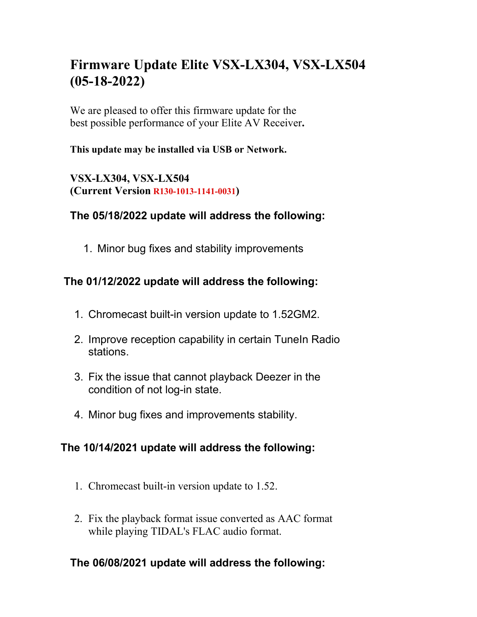# **Firmware Update Elite VSX-LX304, VSX-LX504 (05-18-2022)**

We are pleased to offer this firmware update for the best possible performance of your Elite AV Receiver**.**

## **This update may be installed via USB or Network.**

**VSX-LX304, VSX-LX504 (Current Version R130-1013-1141-0031)**

## **The 05/18/2022 update will address the following:**

1. Minor bug fixes and stability improvements

## **The 01/12/2022 update will address the following:**

- 1. Chromecast built-in version update to 1.52GM2.
- 2. Improve reception capability in certain TuneIn Radio stations.
- 3. Fix the issue that cannot playback Deezer in the condition of not log-in state.
- 4. Minor bug fixes and improvements stability.

# **The 10/14/2021 update will address the following:**

- 1. Chromecast built-in version update to 1.52.
- 2. Fix the playback format issue converted as AAC format while playing TIDAL's FLAC audio format.

# **The 06/08/2021 update will address the following:**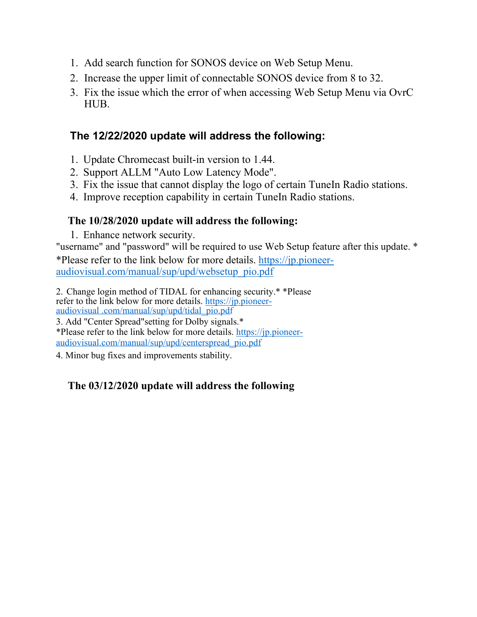- 1. Add search function for SONOS device on Web Setup Menu.
- 2. Increase the upper limit of connectable SONOS device from 8 to 32.
- 3. Fix the issue which the error of when accessing Web Setup Menu via OvrC HUB.

## **The 12/22/2020 update will address the following:**

- 1. Update Chromecast built-in version to 1.44.
- 2. Support ALLM "Auto Low Latency Mode".
- 3. Fix the issue that cannot display the logo of certain TuneIn Radio stations.
- 4. Improve reception capability in certain TuneIn Radio stations.

## **The 10/28/2020 update will address the following:**

1. Enhance network security.

"username" and "password" will be required to use Web Setup feature after this update. \*

\*Please refer to the link below for more details. https://jp.pioneeraudiovisual.com/manual/sup/upd/websetup\_pio.pdf

2. Change login method of TIDAL for enhancing security.\* \*Please refer to the link below for more details. https://jp.pioneeraudiovisual .com/manual/sup/upd/tidal\_pio.pdf

3. Add "Center Spread"setting for Dolby signals.\* \*Please refer to the link below for more details. https://jp.pioneeraudiovisual.com/manual/sup/upd/centerspread\_pio.pdf

4. Minor bug fixes and improvements stability.

## **The 03/12/2020 update will address the following**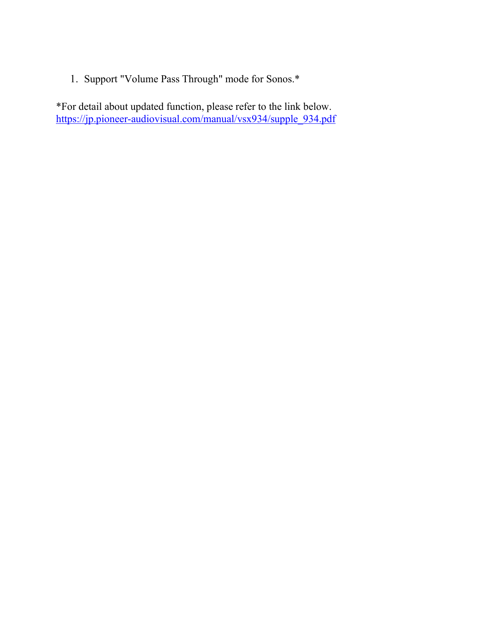1. Support "Volume Pass Through" mode for Sonos.\*

\*For detail about updated function, please refer to the link below. https://jp.pioneer-audiovisual.com/manual/vsx934/supple\_934.pdf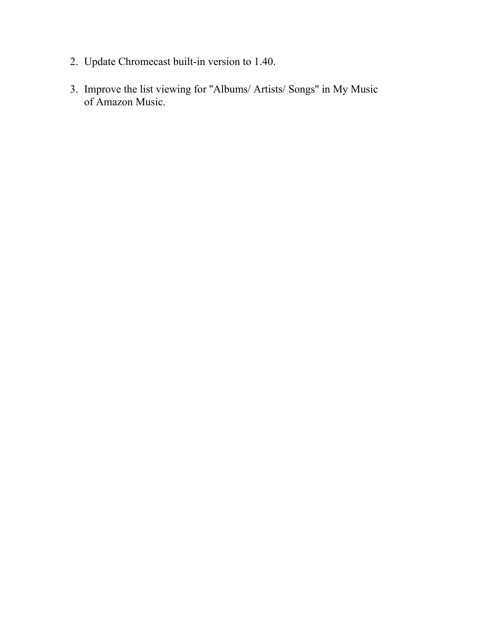- 2. Update Chromecast built-in version to 1.40.
- 3. Improve the list viewing for ''Albums/ Artists/ Songs'' in My Music of Amazon Music.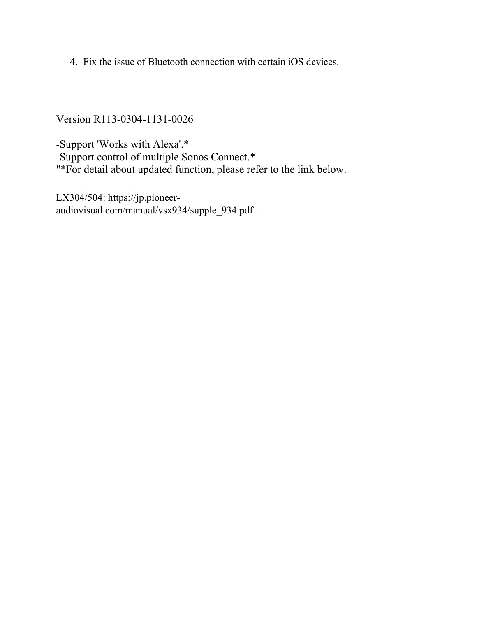4. Fix the issue of Bluetooth connection with certain iOS devices.

Version R113-0304-1131-0026

-Support 'Works with Alexa'.\* -Support control of multiple Sonos Connect.\* "\*For detail about updated function, please refer to the link below.

LX304/504: https://jp.pioneeraudiovisual.com/manual/vsx934/supple\_934.pdf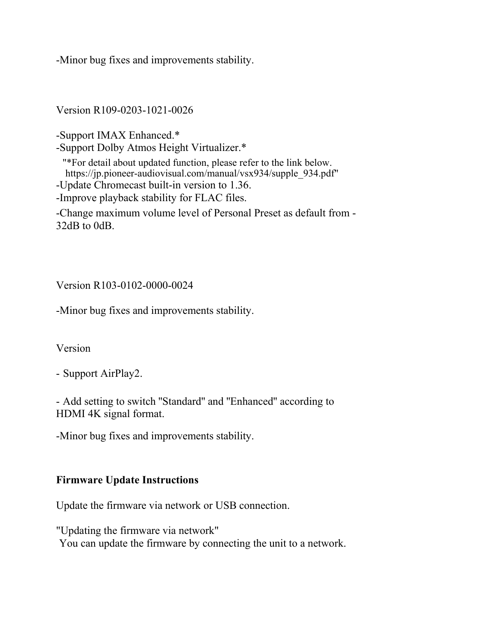-Minor bug fixes and improvements stability.

Version R109-0203-1021-0026

-Support IMAX Enhanced.\*

-Support Dolby Atmos Height Virtualizer.\*

"\*For detail about updated function, please refer to the link below. https://jp.pioneer-audiovisual.com/manual/vsx934/supple\_934.pdf" -Update Chromecast built-in version to 1.36. -Improve playback stability for FLAC files.

-Change maximum volume level of Personal Preset as default from - 32dB to 0dB.

## Version R103-0102-0000-0024

-Minor bug fixes and improvements stability.

#### Version

- Support AirPlay2.

- Add setting to switch ''Standard'' and ''Enhanced'' according to HDMI 4K signal format.

-Minor bug fixes and improvements stability.

#### **Firmware Update Instructions**

Update the firmware via network or USB connection.

"Updating the firmware via network" You can update the firmware by connecting the unit to a network.